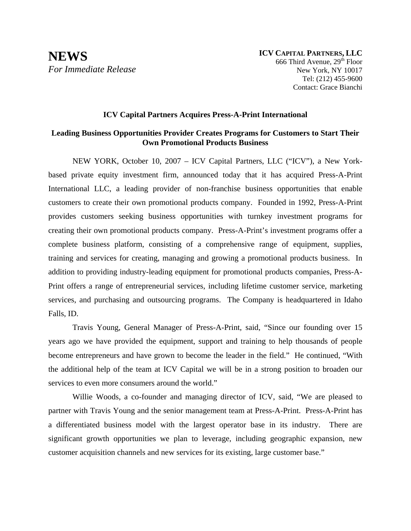## **ICV Capital Partners Acquires Press-A-Print International**

## **Leading Business Opportunities Provider Creates Programs for Customers to Start Their Own Promotional Products Business**

NEW YORK, October 10, 2007 – ICV Capital Partners, LLC ("ICV"), a New Yorkbased private equity investment firm, announced today that it has acquired Press-A-Print International LLC, a leading provider of non-franchise business opportunities that enable customers to create their own promotional products company. Founded in 1992, Press-A-Print provides customers seeking business opportunities with turnkey investment programs for creating their own promotional products company. Press-A-Print's investment programs offer a complete business platform, consisting of a comprehensive range of equipment, supplies, training and services for creating, managing and growing a promotional products business. In addition to providing industry-leading equipment for promotional products companies, Press-A-Print offers a range of entrepreneurial services, including lifetime customer service, marketing services, and purchasing and outsourcing programs. The Company is headquartered in Idaho Falls, ID.

 Travis Young, General Manager of Press-A-Print, said, "Since our founding over 15 years ago we have provided the equipment, support and training to help thousands of people become entrepreneurs and have grown to become the leader in the field." He continued, "With the additional help of the team at ICV Capital we will be in a strong position to broaden our services to even more consumers around the world."

Willie Woods, a co-founder and managing director of ICV, said, "We are pleased to partner with Travis Young and the senior management team at Press-A-Print. Press-A-Print has a differentiated business model with the largest operator base in its industry. There are significant growth opportunities we plan to leverage, including geographic expansion, new customer acquisition channels and new services for its existing, large customer base."